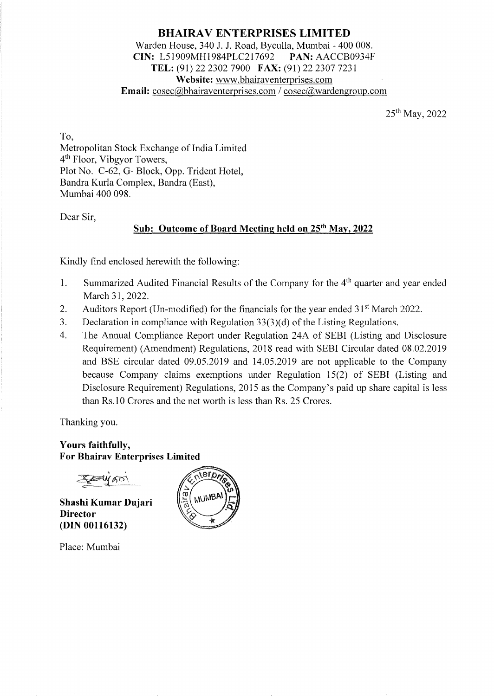# **BHAIRA V ENTERPRISES LIMITED**  Warden House, 340 J. J. Road, Byculla, Mumbai - 400 008. **CIN:** L51909MH1984PLC217692 **PAN:** AACCB0934F **TEL:** (91) 22 2302 7900 **FAX:** (91) 22 2307 7231 **Website:** www.bhairaventerprises.com **Email:** cosec@bhairaventerprises.com / cosec@wardengroup.com

25th May, 2022

To, Metropolitan Stock Exchange of India Limited 4th Floor, Vibgyor Towers, Plot No. C-62, G- Block, Opp. Trident Hotel, Bandra Kurla Complex, Bandra (East), Mumbai 400 098.

Dear Sir,

# **Sub: Outcome of Board Meeting held on 25th May, 2022**

Kindly find enclosed herewith the following:

- 1. Summarized Audited Financial Results of the Company for the 4<sup>th</sup> quarter and year ended March 31, 2022.
- 2. Auditors Report (Un-modified) for the financials for the year ended  $31<sup>st</sup>$  March 2022.
- 3. Declaration in compliance with Regulation 33(3)(d) of the Listing Regulations.
- 4. The Annual Compliance Report under Regulation 24A of SEBI (Listing and Disclosure Requirement) (Amendment) Regulations, 2018 read with SEBI Circular dated 08.02.2019 and BSE circular dated 09.05.2019 and 14.05.2019 are not applicable to the Company because Company claims exemptions under Regulation 15(2) of SEBI (Listing and Disclosure Requirement) Regulations, 2015 as the Company's paid up share capital is less than Rs. IO Crores and the net worth is less than Rs. 25 Crores.

Thanking you.

**Yours faithfully, For Bhairav Enterprises Limited** 

 $Z = W$ AO

**Shashi Kumar Dujari Director (DIN 00116132)** 

Place: Mumbai

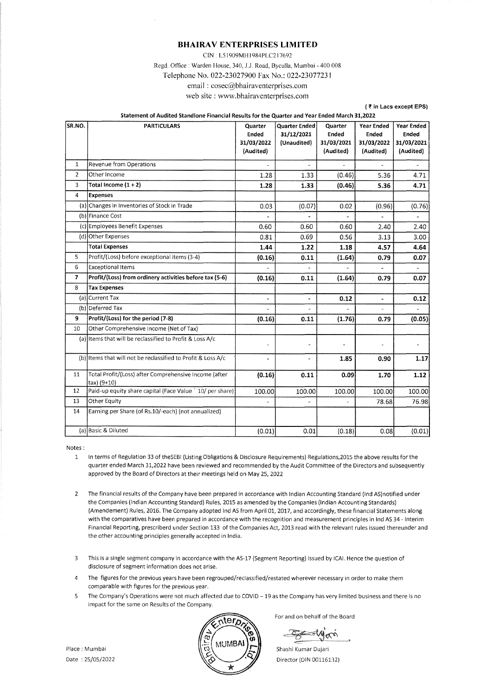CIN L5 I 909MH I 984PLC2 I 7692 Regd. Office : Warden House, 340, J.J. Road, Byculla, Mumbai - 400 008 Telephone No. 022-23027900 Fax No.: 022-23077231 email : cosec@bhairaventerprises.com

|                | email: cosec@bhairaventerprises.com                                                           |                                             |                                            |                                                    |                                                              |                                                       |
|----------------|-----------------------------------------------------------------------------------------------|---------------------------------------------|--------------------------------------------|----------------------------------------------------|--------------------------------------------------------------|-------------------------------------------------------|
|                | web site : www.bhairaventerprises.com                                                         |                                             |                                            |                                                    |                                                              |                                                       |
|                |                                                                                               |                                             |                                            |                                                    |                                                              | (₹ in Lacs except EPS)                                |
|                | Statement of Audited Standlone Financial Results for the Quarter and Year Ended March 31,2022 |                                             |                                            |                                                    |                                                              |                                                       |
| lsr.no.        | <b>PARTICULARS</b>                                                                            | Quarter<br>Ended<br>31/03/2022<br>(Audited) | Quarter Ended<br>31/12/2021<br>(Unaudited) | Quarter<br><b>Ended</b><br>31/03/2021<br>(Audited) | <b>Year Ended</b><br><b>Ended</b><br>31/03/2022<br>(Audited) | <b>Year Ended</b><br>Ended<br>31/03/2021<br>(Audited) |
| $\mathbf{1}$   | Revenue from Operations                                                                       |                                             | u,                                         |                                                    |                                                              |                                                       |
| $\overline{2}$ | Other Income                                                                                  | 1.28                                        | 1.33                                       | (0.46)                                             | 5.36                                                         | 4.71                                                  |
| 3              | Total Income $(1 + 2)$                                                                        | 1.28                                        | 1.33                                       | (0.46)                                             | 5.36                                                         | 4.71                                                  |
| 4              | Expenses                                                                                      |                                             |                                            |                                                    |                                                              |                                                       |
|                | (a) Changes in Inventories of Stock in Trade                                                  | 0.03                                        | (0.07)                                     | 0.02                                               | (0.96)                                                       | (0.76)                                                |
|                | (b) Finance Cost                                                                              |                                             |                                            | $\overline{a}$                                     | $\sim$                                                       | $\overline{\phantom{a}}$                              |
|                | (c) Employees Benefit Expenses                                                                | 0.60                                        | 0.60                                       | 0.60                                               | 2.40                                                         | 2.40                                                  |
|                | (d) Other Expenses                                                                            | 0.81                                        | 0.69                                       | 0.56                                               | 3.13                                                         | 3.00                                                  |
|                | <b>Total Expenses</b>                                                                         | 1.44                                        | 1.22                                       | 1.18                                               | 4.57                                                         | 4.64                                                  |
| 5              | Profit/(Loss) before exceptional items (3-4)                                                  | (0.16)                                      | 0.11                                       | (1.64)                                             | 0.79                                                         | 0.07                                                  |
| 6              | <b>Exceptional Items</b>                                                                      |                                             |                                            |                                                    | $\blacksquare$                                               | ٠                                                     |
| 7              | Profit/(Loss) from ordinery activities before tax (5-6)                                       | (0.16)                                      | 0.11                                       | (1.64)                                             | 0.79                                                         | 0.07                                                  |
| 8              | <b>Tax Expenses</b>                                                                           |                                             |                                            |                                                    |                                                              |                                                       |
|                | (a) Current Tax                                                                               |                                             | $\sim$                                     | 0.12                                               | $\overline{\phantom{a}}$                                     | 0.12                                                  |
|                | (b) Deferred Tax                                                                              |                                             |                                            |                                                    | $\bar{\phantom{a}}$                                          |                                                       |
| 9              | Profit/(Loss) for the period (7-8)                                                            | (0.16)                                      | 0.11                                       | (1.76)                                             | 0.79                                                         | (0.05)                                                |
| 10             | Other Comprehensive Income (Net of Tax)                                                       |                                             |                                            |                                                    |                                                              |                                                       |
|                | (a) Items that will be reclassified to Profit & Loss A/c                                      | L.                                          | $\tilde{\phantom{a}}$                      |                                                    | $\ddot{\phantom{0}}$                                         |                                                       |
|                | (b) Items that will not be reclassified to Profit & Loss A/c                                  |                                             | $\bar{ }$                                  | 1.85                                               | 0.90                                                         | 1.17                                                  |
| 11             | Total Profit/(Loss) after Comprehensive Income (after<br>tax) (9+10)                          | (0.16)                                      | 0.11                                       | 0.09                                               | 1.70                                                         | 1.12                                                  |
| 12             | Paid-up equity share capital (Face Value ` 10/ per share)                                     | 100.00                                      | 100.00                                     | 100.00                                             | 100.00                                                       | 100.00                                                |
| 13             | Other Equity                                                                                  |                                             | à,                                         |                                                    | 78.68                                                        | 76.98                                                 |
| 14             | Earning per Share (of Rs.10/-each) (not annualized)                                           |                                             |                                            |                                                    |                                                              |                                                       |

Notes:

1 In terms of Regulation 33 of theSEBI (Listing Obligations & Disclosure Requirements) Regulations,2015 the above results for the quarter ended March 31,2022 have been reviewed and recommended by the Audit Committee of the Directors and subsequently approved by the Board of Directors at their meetings held on May 25, 2022

(a) Basic & Diluted  $(0.01)$  0.01  $(0.18)$  0.08  $(0.01)$ 

2 The financial results of the Company have been prepared in accordance with Indian Accounting Standard (Ind AS)notified under the Companies (Indian Accounting Standard) Rules, 2015 as amended by the Companies (Indian Accounting Standards) (Amendement) Rules, 2016. The Company adopted Ind AS from April 01, 2017, and accordingly, these financial Statements along with the comparatives have been prepared in accordance with the recognition and measurement principles in Ind AS 34 - Interim Financial Reporting, prescriberd under Section 133 of the Companies Act, 2013 read with the relevant rules issued thereunder and the other accounting principles generally accepted in India.

3 This is a single segment company in accordance with the AS-17 (Segment Reporting) issued by ICAI. Hence the question of disclosure of segment information does not arise.

4 The figures for the previous years have been regrouped/reclassified/restated wherever necessary in order to make them comparable with figures for the previous year.

5 The Company's Operations were not much affected due to COVID - 19 as the Company has very limited business and there is no impact for the same on Results of the Company.



For and on behalf of the Board

Shashi Kumar Dujari Director (DIN 00116132)

Place: Mumbai Date: 25/05/2022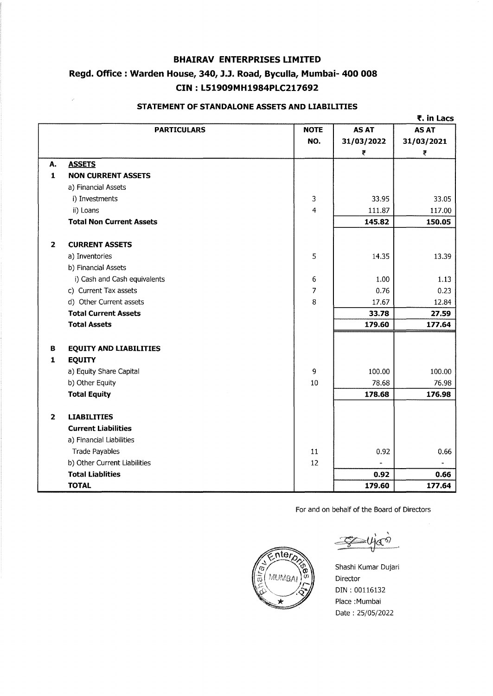# **Regd. Office** : **Warden House, 340, J.J. Road, Byculla, Mumbai- 400 008 CIN** : **L51909MH1984PLC217692**

|                |                                 |             |              | ₹. in Lacs   |
|----------------|---------------------------------|-------------|--------------|--------------|
|                | <b>PARTICULARS</b>              | <b>NOTE</b> | <b>AS AT</b> | <b>AS AT</b> |
|                |                                 | NO.         | 31/03/2022   | 31/03/2021   |
|                |                                 |             | ₹            | ₹            |
| Α.             | <b>ASSETS</b>                   |             |              |              |
| $\mathbf{1}$   | <b>NON CURRENT ASSETS</b>       |             |              |              |
|                | a) Financial Assets             |             |              |              |
|                | i) Investments                  | 3           | 33.95        | 33.05        |
|                | ii) Loans                       | 4           | 111.87       | 117.00       |
|                | <b>Total Non Current Assets</b> |             | 145.82       | 150.05       |
| $\overline{2}$ | <b>CURRENT ASSETS</b>           |             |              |              |
|                | a) Inventories                  | 5           | 14.35        | 13.39        |
|                | b) Financial Assets             |             |              |              |
|                | i) Cash and Cash equivalents    | 6           | 1.00         | 1.13         |
|                | c) Current Tax assets           | 7           | 0.76         | 0.23         |
|                | d) Other Current assets         | 8           | 17.67        | 12.84        |
|                | <b>Total Current Assets</b>     |             | 33.78        | 27.59        |
|                | <b>Total Assets</b>             |             | 179.60       | 177.64       |
| в              | <b>EQUITY AND LIABILITIES</b>   |             |              |              |
| 1              | <b>EQUITY</b>                   |             |              |              |
|                | a) Equity Share Capital         | 9           | 100.00       | 100.00       |
|                | b) Other Equity                 | 10          | 78.68        | 76.98        |
|                | <b>Total Equity</b>             |             | 178.68       | 176.98       |
| $\overline{2}$ | <b>LIABILITIES</b>              |             |              |              |
|                | <b>Current Liabilities</b>      |             |              |              |
|                | a) Financial Liabilities        |             |              |              |
|                | <b>Trade Payables</b>           | 11          | 0.92         | 0.66         |
|                | b) Other Current Liabilities    | 12          |              |              |
|                | <b>Total Liablities</b>         |             | 0.92         | 0.66         |
|                | <b>TOTAL</b>                    |             | 179.60       | 177.64       |

#### **STATEMENT OF STANDALONE ASSETS AND LIABILITIES**

For and on behalf of the Board of Directors



Shashi Kumar Dujari Director DIN : 00116132 Place :Mumbai Date : 25/05/2022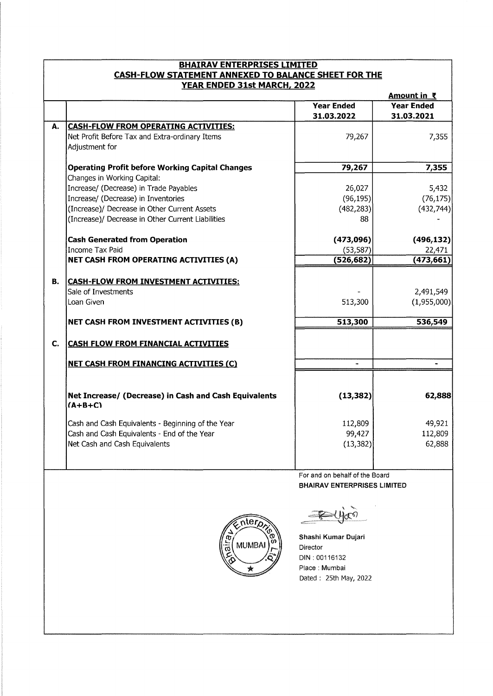| <b>BHAIRAV ENTERPRISES LIMITED</b>                                                         |                                                                    |                                    |                    |  |  |  |
|--------------------------------------------------------------------------------------------|--------------------------------------------------------------------|------------------------------------|--------------------|--|--|--|
| <b>CASH-FLOW STATEMENT ANNEXED TO BALANCE SHEET FOR THE</b><br>YEAR ENDED 31st MARCH, 2022 |                                                                    |                                    |                    |  |  |  |
|                                                                                            |                                                                    |                                    | <u>Amount in ₹</u> |  |  |  |
|                                                                                            |                                                                    | <b>Year Ended</b>                  | <b>Year Ended</b>  |  |  |  |
|                                                                                            |                                                                    | 31.03.2022                         | 31.03.2021         |  |  |  |
| А.                                                                                         | <b>CASH-FLOW FROM OPERATING ACTIVITIES:</b>                        |                                    |                    |  |  |  |
|                                                                                            | Net Profit Before Tax and Extra-ordinary Items                     | 79,267                             | 7,355              |  |  |  |
|                                                                                            | Adjustment for                                                     |                                    |                    |  |  |  |
|                                                                                            | <b>Operating Profit before Working Capital Changes</b>             | 79,267                             | 7,355              |  |  |  |
|                                                                                            | Changes in Working Capital:                                        |                                    |                    |  |  |  |
|                                                                                            | Increase/ (Decrease) in Trade Payables                             | 26,027                             | 5,432              |  |  |  |
|                                                                                            | Increase/ (Decrease) in Inventories                                | (96, 195)                          | (76, 175)          |  |  |  |
|                                                                                            | (Increase)/ Decrease in Other Current Assets                       | (482, 283)                         | (432, 744)         |  |  |  |
|                                                                                            | (Increase)/ Decrease in Other Current Liabilities                  | 88                                 |                    |  |  |  |
|                                                                                            |                                                                    |                                    |                    |  |  |  |
|                                                                                            | <b>Cash Generated from Operation</b>                               | (473,096)                          | (496, 132)         |  |  |  |
|                                                                                            | <b>Income Tax Paid</b>                                             | (53, 587)                          | 22,471             |  |  |  |
|                                                                                            | NET CASH FROM OPERATING ACTIVITIES (A)                             | (526, 682)                         | (473, 661)         |  |  |  |
|                                                                                            |                                                                    |                                    |                    |  |  |  |
| В.                                                                                         | <b>CASH-FLOW FROM INVESTMENT ACTIVITIES:</b>                       |                                    |                    |  |  |  |
|                                                                                            | Sale of Investments                                                |                                    | 2,491,549          |  |  |  |
|                                                                                            | Loan Given                                                         | 513,300                            | (1,955,000)        |  |  |  |
|                                                                                            | NET CASH FROM INVESTMENT ACTIVITIES (B)                            | 513,300                            | 536,549            |  |  |  |
|                                                                                            |                                                                    |                                    |                    |  |  |  |
| C.                                                                                         | <b>CASH FLOW FROM FINANCIAL ACTIVITIES</b>                         |                                    |                    |  |  |  |
|                                                                                            | <b>NET CASH FROM FINANCING ACTIVITIES (C)</b>                      |                                    |                    |  |  |  |
|                                                                                            |                                                                    |                                    |                    |  |  |  |
|                                                                                            | Net Increase/ (Decrease) in Cash and Cash Equivalents<br>$(A+B+C)$ | (13, 382)                          | 62,888             |  |  |  |
|                                                                                            | Cash and Cash Equivalents - Beginning of the Year                  | 112,809                            | 49,921             |  |  |  |
|                                                                                            | Cash and Cash Equivalents - End of the Year                        | 99,427                             | 112,809            |  |  |  |
|                                                                                            | Net Cash and Cash Equivalents                                      | (13, 382)                          | 62,888             |  |  |  |
|                                                                                            |                                                                    |                                    |                    |  |  |  |
|                                                                                            |                                                                    |                                    |                    |  |  |  |
|                                                                                            |                                                                    | For and on behalf of the Board     |                    |  |  |  |
|                                                                                            |                                                                    | <b>BHAIRAV ENTERPRISES LIMITED</b> |                    |  |  |  |
|                                                                                            | nter <sub>p</sub><br><b>MUMBA</b><br>$\vec{\bar{\sigma}}$          | Shashi Kumar Dujari<br>Director    |                    |  |  |  |
|                                                                                            |                                                                    | DIN: 00116132                      |                    |  |  |  |
|                                                                                            |                                                                    | Place : Mumbai                     |                    |  |  |  |
|                                                                                            |                                                                    | Dated: 25th May, 2022              |                    |  |  |  |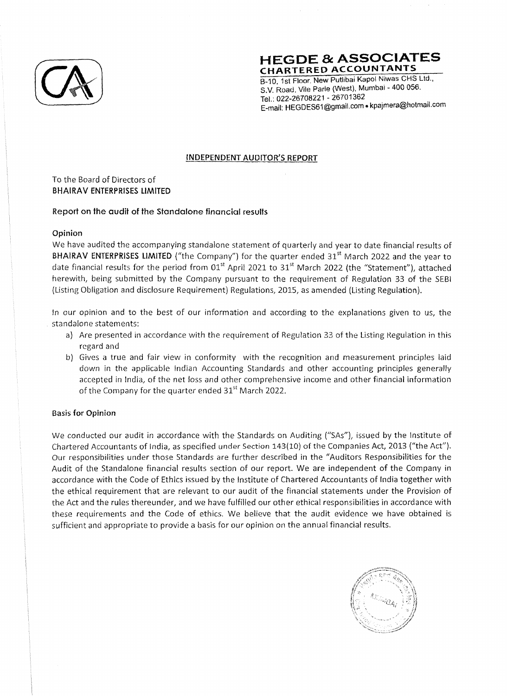

**HEGDE & ASSOCIATES CHARTERED ACCOUNTANTS** 

B-10, 1st Floor. New Putlibai Kapoi Niwas CHS Ltd., S.V. Road, Vile Parle (West), Mumbai - 400 056. Tel.: 022-26708221 - 26701362 . E-mail: HEGDES61@gmail.com • kpajmera@hotmail.com

#### **INDEPENDENT AUDITOR'S REPORT**

To the Board of Directors of **BHAIRAV ENTERPRISES LIMITED** 

#### **Report on the audit of the Standalone financial results**

#### **Opinion**

We have audited the accompanying standalone statement of quarterly and year to date financial results of BHAIRAV ENTERPRISES LIMITED ("the Company") for the quarter ended 31<sup>st</sup> March 2022 and the year to date financial results for the period from  $01<sup>st</sup>$  April 2021 to 31<sup>st</sup> March 2022 (the "Statement"), attached herewith, being submitted by the Company pursuant to the requirement of Regulation 33 of the SEB! (Listing Obligation and disclosure Requirement) Regulations, 2015, as amended (Listing Regulation).

In our opinion and to the best of our information and according to the explanations given to us, the standalone statements:

- a) Are presented in accordance with the requirement of Regulation 33 of the Listing Regulation in this regard and
- b) Gives a true and fair view in conformity with the recognition and measurement principles laid down in the applicable Indian Accounting Standards and other accounting principles generally accepted in India, of the net loss and other comprehensive income and other financial information of the Company for the quarter ended 31<sup>st</sup> March 2022.

# **Basis for Opinion**

We conducted our audit in accordance with the Standards on Auditing ("SAs"), issued by the Institute of Chartered Accountants of India, as specified under Section 143(10) of the Companies Act, 2013 ("the Act"). Our responsibilities under those Standards are further described in the "Auditors Responsibilities for the Audit of the Standalone financial results section of our report. We are independent of the Company in accordance with the Code of Ethics issued by the Institute of Chartered Accountants of India together with the ethical requirement that are relevant to our audit of the financial statements under the Provision of the Act and the rules thereunder, and we have fulfilled our other ethical responsibilities in accordance with these requirements and the Code of ethics. We believe that the audit evidence we have obtained is sufficient and appropriate to provide a basis for our opinion on the annual financial results.

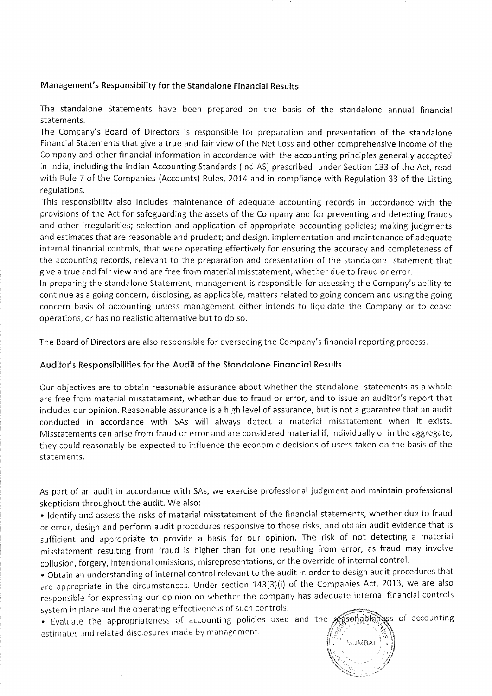#### **Management's Responsibility for the Standalone Financial Results**

The standalone Statements have been prepared on the basis of the standalone annual financial statements.

The Company's Board of Directors is responsible for preparation and presentation of the standalone Financial Statements that give a true and fair view of the Net Loss and other comprehensive income of the Company and other financial information in accordance with the accounting principles generally accepted in India, including the Indian Accounting Standards (Ind AS) prescribed under Section 133 of the Act, read with Rule 7 of the Companies (Accounts) Rules, 2014 and in compliance with Regulation 33 of the Listing regulations.

This responsibility also includes maintenance of adequate accounting records in accordance with the provisions of the Act for safeguarding the assets of the Company and for preventing and detecting frauds and other irregularities; selection and application of appropriate accounting policies; making judgments and estimates that are reasonable and prudent; and design, implementation and maintenance of adequate internal financial controls, that were operating effectively for ensuring the accuracy and completeness of the accounting records, relevant to the preparation and presentation of the standalone statement that give a true and fair view and are free from material misstatement, whether due to fraud or error.

In preparing the standalone Statement, management is responsible for assessing the Company's ability to continue as a going concern, disclosing, as applicable, matters related to going concern and using the going concern basis of accounting unless management either intends to liquidate the Company or to cease operations, or has no realistic alternative but to do so.

The Board of Directors are also responsible for overseeing the Company's financial reporting process.

# **Auditor's Responsibilities for the Audit of the Standalone Financial Results**

Our objectives are to obtain reasonable assurance about whether the standalone statements as a whole are free from material misstatement, whether due to fraud or error, and to issue an auditor's report that includes our opinion. Reasonable assurance is a high level of assurance, but is not a guarantee that an audit conducted in accordance with SAs will always detect a material misstatement when it exists. Misstatements can arise from fraud or error and are considered material if, individually or in the aggregate, they could reasonably be expected to influence the economic decisions of users taken on the basis of the statements.

As part of an audit in accordance with SAs, we exercise professional judgment and maintain professional skepticism throughout the audit. We also:

• Identify and assess the risks of material misstatement of the financial statements, whether due to fraud or error, design and perform audit procedures responsive to those risks, and obtain audit evidence that is sufficient and appropriate to provide a basis for our opinion. The risk of not detecting a material misstatement resulting from fraud is higher than for one resulting from error, as fraud may involve collusion, forgery, intentional omissions, misrepresentations, or the override of internal control.

• Obtain an understanding of internal control relevant to the audit in order to design audit procedures that are appropriate in the circumstances. Under section 143(3)(i) of the Companies Act, 2013, we are also responsible for expressing our opinion on whether the company has adequate internal financial controls system in place and the operating effectiveness of such controls.

• Evaluate the appropriateness of accounting policies used and the personable has of accounting estimates and related disclosures made by management.

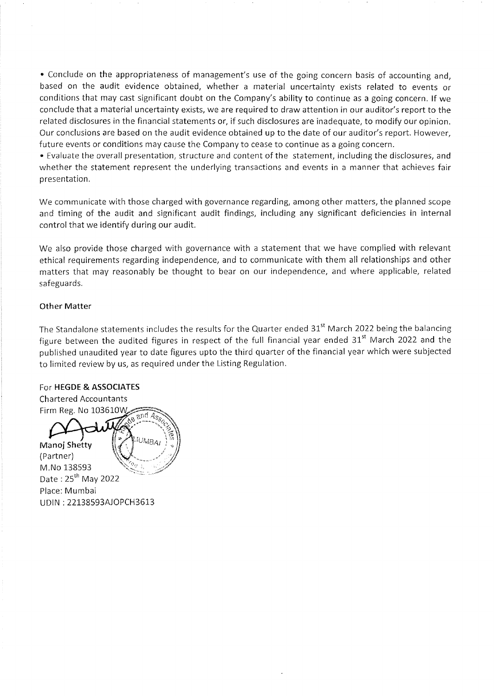• Conclude on the appropriateness of management's use of the going concern basis of accounting and, based on the audit evidence obtained, whether a material uncertainty exists related to events or conditions that may cast significant doubt on the Company's ability to continue as a going concern. If we conclude that a material uncertainty exists, we are required to draw attention in our auditor's report to the related disclosures in the financial statements or, if such disclosures are inadequate, to modify our opinion. Our conclusions are based on the audit evidence obtained up to the date of our auditor's report. However, future events or conditions may cause the Company to cease to continue as a going concern.

• Evaluate the overall presentation, structure and content of the statement, including the disclosures, and whether the statement represent the underlying transactions and events in a manner that achieves fair presentation.

We communicate with those charged with governance regarding, among other matters, the planned scope and timing of the audit and significant audit findings, including any significant deficiencies in internal control that we identify during our audit.

We also provide those charged with governance with a statement that we have complied with relevant ethical requirements regarding independence, and to communicate with them all relationships and other matters that may reasonably be thought to bear on our independence, and where applicable, related safeguards.

#### **Other Matter**

The Standalone statements includes the results for the Quarter ended 31<sup>st</sup> March 2022 being the balancing figure between the audited figures in respect of the full financial year ended  $31<sup>st</sup>$  March 2022 and the published unaudited year to date figures upto the third quarter of the financial year which were subjected to limited review by us, as required under the Listing Regulation.

#### For **HEGDE & ASSOCIATES**

Chartered Accountants Firm Reg. No 103610W 1 S  $S$  and  $\mathcal{A}$ Manoj Shetty **COUVER** (Partner) M.No 138593 Date: 25<sup>th</sup> May 2022 Place: Mumbai UDIN: 22138593AJOPCH3613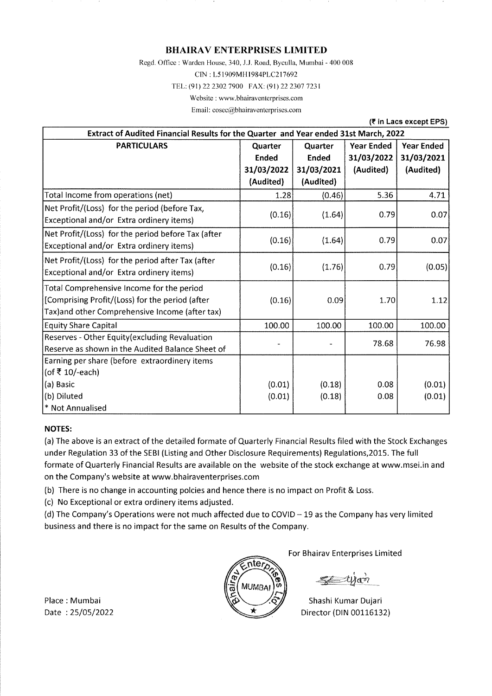Regd. Office: Warden House, 340, J.J. Road, Byculla, Mumbai - 400 008

CIN: L5l909MHl984PLC217692

TEL: (91) 22 2302 7900 FAX: (91) 22 2307 7231

Website: www.bhairaventerprises.com

Email: cosec@bhairaventerprises.com

**(₹ in Lacs except EPS)** 

| Extract of Audited Financial Results for the Quarter and Year ended 31st March, 2022 |              |              |                   |                   |  |
|--------------------------------------------------------------------------------------|--------------|--------------|-------------------|-------------------|--|
| <b>PARTICULARS</b>                                                                   | Quarter      | Quarter      | <b>Year Ended</b> | <b>Year Ended</b> |  |
|                                                                                      | <b>Ended</b> | <b>Ended</b> | 31/03/2022        | 31/03/2021        |  |
|                                                                                      | 31/03/2022   | 31/03/2021   | (Audited)         | (Audited)         |  |
|                                                                                      | (Audited)    | (Audited)    |                   |                   |  |
| Total Income from operations (net)                                                   | 1.28         | (0.46)       | 5.36              | 4.71              |  |
| Net Profit/(Loss) for the period (before Tax,                                        | (0.16)       | (1.64)       | 0.79              | 0.07              |  |
| Exceptional and/or Extra ordinery items)                                             |              |              |                   |                   |  |
| Net Profit/(Loss) for the period before Tax (after                                   | (0.16)       | (1.64)       | 0.79              | 0.07              |  |
| Exceptional and/or Extra ordinery items)                                             |              |              |                   |                   |  |
| Net Profit/(Loss) for the period after Tax (after                                    | (0.16)       | (1.76)       | 0.79              | (0.05)            |  |
| Exceptional and/or Extra ordinery items)                                             |              |              |                   |                   |  |
| Total Comprehensive Income for the period                                            |              |              |                   |                   |  |
| [Comprising Profit/(Loss) for the period (after                                      | (0.16)       | 0.09         | 1.70              | 1.12              |  |
| Tax) and other Comprehensive Income (after tax)                                      |              |              |                   |                   |  |
| <b>Equity Share Capital</b>                                                          | 100.00       | 100.00       | 100.00            | 100.00            |  |
| Reserves - Other Equity (excluding Revaluation                                       |              |              | 78.68             | 76.98             |  |
| Reserve as shown in the Audited Balance Sheet of                                     |              |              |                   |                   |  |
| Earning per share (before extraordinery items                                        |              |              |                   |                   |  |
| (of ₹ 10/-each)                                                                      |              |              |                   |                   |  |
| (a) Basic                                                                            | (0.01)       | (0.18)       | 0.08              | (0.01)            |  |
| (b) Diluted                                                                          | (0.01)       | (0.18)       | 0.08              | (0.01)            |  |
| * Not Annualised                                                                     |              |              |                   |                   |  |

#### **NOTES:**

(a) The above is an extract of the detailed formate of Quarterly Financial Results filed with the Stock Exchanges under Regulation 33 of the SEBI (Listing and Other Disclosure Requirements) Regulations,2015. The full formate of Quarterly Financial Results are available on the website of the stock exchange at www.msei.in and on the Company's website at www.bhairaventerprises.com

(b) There is no change in accounting polcies and hence there is no impact on Profit & Loss.

(c) No Exceptional or extra ordinery items adjusted.

(d) The Company's Operations were not much affected due to COVID  $-19$  as the Company has very limited business and there is no impact for the same on Results of the Company.



For Bhairav Enterprises Limited

Shashi Kumar Dujari Director (DIN 00116132)

Place : Mumbai Date: 25/05/2022